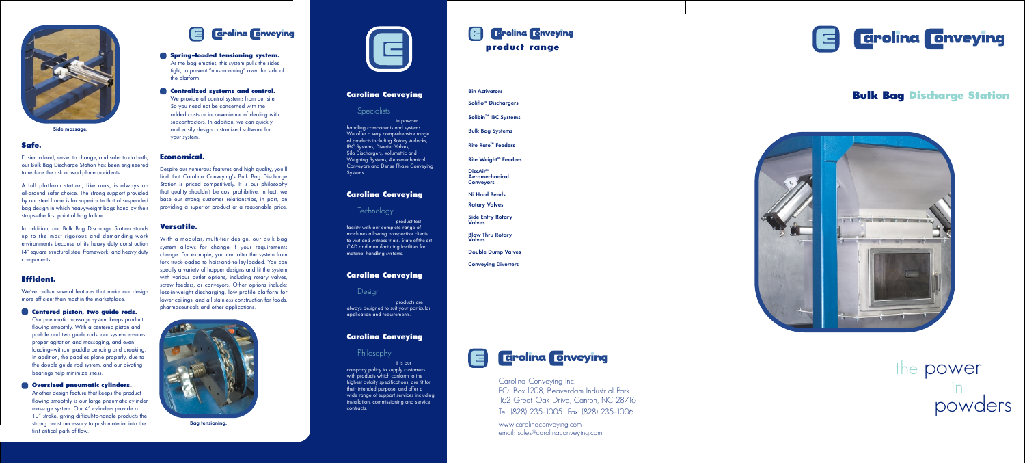# **Bulk Bag Discharge Station**





the power in powders

# **Carolina Conveying**

## **Specialists**

in powder handling components and systems. We offer a very comprehensive range of products including Rotary Airlocks, IBC Systems, Diverter Valves, Silo Dischargers, Volumetric and Weighing Systems, Aero-mechanical Conveyors and Dense Phase Conveying Systems.

### **Carolina Conveying**

# **Technology**

product test facility with our complete range of machines allowing prospective clients to visit and witness trials. State-of-the-art CAD and manufacturing facilities for material handling systems.

# $\blacksquare$ **product range**

## **Carolina Conveying**

**Design** 

products are always designed to suit your particular application and requirements.

### **Carolina Conveying**

# **Philosophy**

it is our company policy to supply customers with products which conform to the highest qulaity specifications, are fit for their intended purpose, and offer a wide range of support services including installation, commissioning and service contracts.

Bin Activators Soliflo ™ Dischargers

Solibin ™ IBC Systems

Bulk Bag Systems

Rite Rate ™ Feeders

Rite Weight ™ Feeders

DiscAir<sup>™</sup> Aeromechanical **Conveyors** 

Ni Hard Bends

Rotary Valves

Side Entry Rotary Valves

Blow Thru Rotary Valves

Double Dump Valves

Conveying Diverters





Carolina Conveying Inc. P.O. Box 1208, Beaverdam Industrial Park 162 Great Oak Drive, Canton, NC 28716 Tel: (828) 235-1005 Fax: (828) 235-1006

www.carolinaconveying.com email: sales@carolinaconveying.com

### **Safe.**

Easier to load, easier to change, and safer to do both, our Bulk Bag Discharge Station has been engineered to reduce the risk of workplace accidents.

A full platform station, like ours, is always an all-around safer choice. The strong support provided by our steel frame is far superior to that of suspended bag design in which heavyweight bags hang by their straps—the first point of bag failure.

In addition, our Bulk Bag Discharge Station stands up to the most rigorous and demanding work environments because of its heavy duty construction (4" square structural steel framework) and heavy duty components.

# **Efficient.**

We've built-in several features that make our design more efficient than most in the marketplace.

### **• Centered piston, two guide rods.**

Our pneumatic massage system keeps product flowing smoothly. With a centered piston and paddle and two guide rods, our system ensures proper agitation and massaging, and even loading—without paddle bending and breaking. In addition, the paddles plane properly, due to the double guide rod system, and our pivoting bearings help minimize stress.

### **• Oversized pneumatic cylinders.**

Another design feature that keeps the product flowing smoothly is our large pneumatic cylinder massage system. Our 4" cylinders provide a 10" stroke, giving difficult-to-handle products the strong boost necessary to push material into the first critical path of flow.



### **• Spring-loaded tensioning system.**

As the bag empties, this system pulls the sides tight, to prevent "mushrooming" over the side of the platform.

### **• Centralized systems and control.**

We provide all control systems from our site. So you need not be concerned with the added costs or inconvenience of dealing with subcontractors. In addition, we can quickly and easily design customized software for your system.

## **Economical.**

Despite our numerous features and high quality, you'll find that Carolina Conveying's Bulk Bag Discharge Station is priced competitively. It is our philosophy that quality shouldn't be cost prohibitive. In fact, we base our strong customer relationships, in part, on providing a superior product at a reasonable price.

### **Versatile.**

With a modular, multi-tier design, our bulk bag system allows for change if your requirements change. For example, you can alter the system from fork truck-loaded to hoist-and-trolley-loaded. You can specify a variety of hopper designs and fit the system with various outlet options, including rotary valves, screw feeders, or conveyors. Other options include: loss-in-weight discharging, low profile platform for lower ceilings, and all stainless construction for foods, pharmaceuticals and other applications.





Side massage.

Bag tensioning.